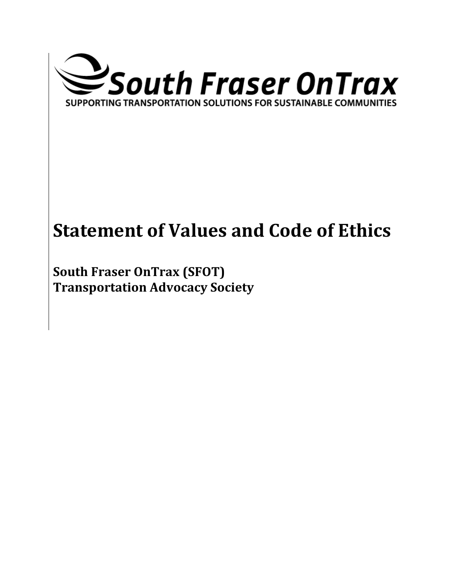

# **Statement of Values and Code of Ethics**

**South Fraser OnTrax (SFOT) Transportation Advocacy Society**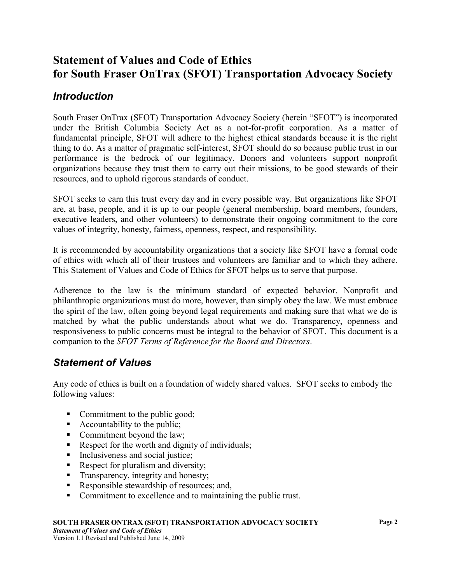# **Statement of Values and Code of Ethics for South Fraser OnTrax (SFOT) Transportation Advocacy Society**

# *Introduction*

South Fraser OnTrax (SFOT) Transportation Advocacy Society (herein "SFOT") is incorporated under the British Columbia Society Act as a not-for-profit corporation. As a matter of fundamental principle, SFOT will adhere to the highest ethical standards because it is the right thing to do. As a matter of pragmatic self-interest, SFOT should do so because public trust in our performance is the bedrock of our legitimacy. Donors and volunteers support nonprofit organizations because they trust them to carry out their missions, to be good stewards of their resources, and to uphold rigorous standards of conduct.

SFOT seeks to earn this trust every day and in every possible way. But organizations like SFOT are, at base, people, and it is up to our people (general membership, board members, founders, executive leaders, and other volunteers) to demonstrate their ongoing commitment to the core values of integrity, honesty, fairness, openness, respect, and responsibility.

It is recommended by accountability organizations that a society like SFOT have a formal code of ethics with which all of their trustees and volunteers are familiar and to which they adhere. This Statement of Values and Code of Ethics for SFOT helps us to serve that purpose.

Adherence to the law is the minimum standard of expected behavior. Nonprofit and philanthropic organizations must do more, however, than simply obey the law. We must embrace the spirit of the law, often going beyond legal requirements and making sure that what we do is matched by what the public understands about what we do. Transparency, openness and responsiveness to public concerns must be integral to the behavior of SFOT. This document is a companion to the *SFOT Terms of Reference for the Board and Directors*.

# *Statement of Values*

Any code of ethics is built on a foundation of widely shared values. SFOT seeks to embody the following values:

- Commitment to the public good;
- Accountability to the public;
- Commitment beyond the law;
- Respect for the worth and dignity of individuals;
- Inclusiveness and social justice;
- Respect for pluralism and diversity;
- **Transparency, integrity and honesty;**
- Responsible stewardship of resources; and,
- Commitment to excellence and to maintaining the public trust.

#### **SOUTH FRASER ONTRAX (SFOT) TRANSPORTATION ADVOCACY SOCIETY**

*Statement of Values and Code of Ethics*  Version 1.1 Revised and Published June 14, 2009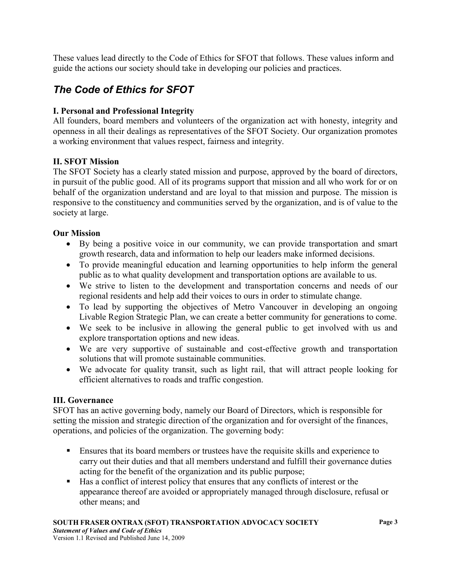These values lead directly to the Code of Ethics for SFOT that follows. These values inform and guide the actions our society should take in developing our policies and practices.

# *The Code of Ethics for SFOT*

# **I. Personal and Professional Integrity**

All founders, board members and volunteers of the organization act with honesty, integrity and openness in all their dealings as representatives of the SFOT Society. Our organization promotes a working environment that values respect, fairness and integrity.

## **II. SFOT Mission**

The SFOT Society has a clearly stated mission and purpose, approved by the board of directors, in pursuit of the public good. All of its programs support that mission and all who work for or on behalf of the organization understand and are loyal to that mission and purpose. The mission is responsive to the constituency and communities served by the organization, and is of value to the society at large.

## **Our Mission**

- By being a positive voice in our community, we can provide transportation and smart growth research, data and information to help our leaders make informed decisions.
- To provide meaningful education and learning opportunities to help inform the general public as to what quality development and transportation options are available to us.
- We strive to listen to the development and transportation concerns and needs of our regional residents and help add their voices to ours in order to stimulate change.
- To lead by supporting the objectives of Metro Vancouver in developing an ongoing Livable Region Strategic Plan, we can create a better community for generations to come.
- We seek to be inclusive in allowing the general public to get involved with us and explore transportation options and new ideas.
- We are very supportive of sustainable and cost-effective growth and transportation solutions that will promote sustainable communities.
- We advocate for quality transit, such as light rail, that will attract people looking for efficient alternatives to roads and traffic congestion.

## **III. Governance**

SFOT has an active governing body, namely our Board of Directors, which is responsible for setting the mission and strategic direction of the organization and for oversight of the finances, operations, and policies of the organization. The governing body:

- Ensures that its board members or trustees have the requisite skills and experience to carry out their duties and that all members understand and fulfill their governance duties acting for the benefit of the organization and its public purpose;
- Has a conflict of interest policy that ensures that any conflicts of interest or the appearance thereof are avoided or appropriately managed through disclosure, refusal or other means; and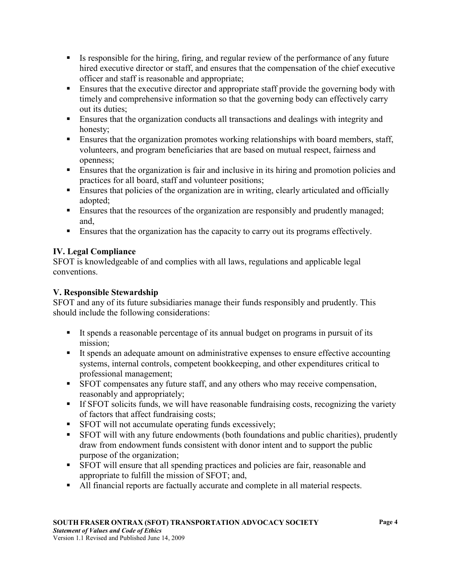- Is responsible for the hiring, firing, and regular review of the performance of any future hired executive director or staff, and ensures that the compensation of the chief executive officer and staff is reasonable and appropriate;
- **Ensures that the executive director and appropriate staff provide the governing body with** timely and comprehensive information so that the governing body can effectively carry out its duties;
- **Ensures that the organization conducts all transactions and dealings with integrity and** honesty;
- **Ensures that the organization promotes working relationships with board members, staff,** volunteers, and program beneficiaries that are based on mutual respect, fairness and openness;
- Ensures that the organization is fair and inclusive in its hiring and promotion policies and practices for all board, staff and volunteer positions;
- Ensures that policies of the organization are in writing, clearly articulated and officially adopted;
- **Ensures that the resources of the organization are responsibly and prudently managed;** and,
- Ensures that the organization has the capacity to carry out its programs effectively.

# **IV. Legal Compliance**

SFOT is knowledgeable of and complies with all laws, regulations and applicable legal conventions.

## **V. Responsible Stewardship**

SFOT and any of its future subsidiaries manage their funds responsibly and prudently. This should include the following considerations:

- It spends a reasonable percentage of its annual budget on programs in pursuit of its mission;
- It spends an adequate amount on administrative expenses to ensure effective accounting systems, internal controls, competent bookkeeping, and other expenditures critical to professional management;
- SFOT compensates any future staff, and any others who may receive compensation, reasonably and appropriately;
- If SFOT solicits funds, we will have reasonable fundraising costs, recognizing the variety of factors that affect fundraising costs;
- SFOT will not accumulate operating funds excessively;
- SFOT will with any future endowments (both foundations and public charities), prudently draw from endowment funds consistent with donor intent and to support the public purpose of the organization;
- SFOT will ensure that all spending practices and policies are fair, reasonable and appropriate to fulfill the mission of SFOT; and,
- All financial reports are factually accurate and complete in all material respects.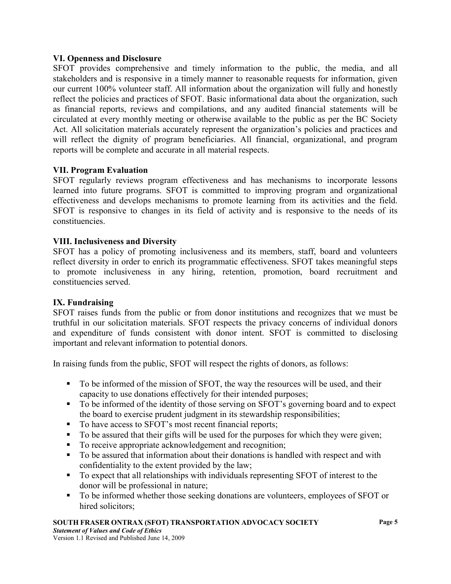#### **VI. Openness and Disclosure**

SFOT provides comprehensive and timely information to the public, the media, and all stakeholders and is responsive in a timely manner to reasonable requests for information, given our current 100% volunteer staff. All information about the organization will fully and honestly reflect the policies and practices of SFOT. Basic informational data about the organization, such as financial reports, reviews and compilations, and any audited financial statements will be circulated at every monthly meeting or otherwise available to the public as per the BC Society Act. All solicitation materials accurately represent the organization's policies and practices and will reflect the dignity of program beneficiaries. All financial, organizational, and program reports will be complete and accurate in all material respects.

#### **VII. Program Evaluation**

SFOT regularly reviews program effectiveness and has mechanisms to incorporate lessons learned into future programs. SFOT is committed to improving program and organizational effectiveness and develops mechanisms to promote learning from its activities and the field. SFOT is responsive to changes in its field of activity and is responsive to the needs of its constituencies.

#### **VIII. Inclusiveness and Diversity**

SFOT has a policy of promoting inclusiveness and its members, staff, board and volunteers reflect diversity in order to enrich its programmatic effectiveness. SFOT takes meaningful steps to promote inclusiveness in any hiring, retention, promotion, board recruitment and constituencies served.

#### **IX. Fundraising**

SFOT raises funds from the public or from donor institutions and recognizes that we must be truthful in our solicitation materials. SFOT respects the privacy concerns of individual donors and expenditure of funds consistent with donor intent. SFOT is committed to disclosing important and relevant information to potential donors.

In raising funds from the public, SFOT will respect the rights of donors, as follows:

- To be informed of the mission of SFOT, the way the resources will be used, and their capacity to use donations effectively for their intended purposes;
- To be informed of the identity of those serving on SFOT's governing board and to expect the board to exercise prudent judgment in its stewardship responsibilities;
- To have access to SFOT's most recent financial reports;
- To be assured that their gifts will be used for the purposes for which they were given;
- To receive appropriate acknowledgement and recognition;
- To be assured that information about their donations is handled with respect and with confidentiality to the extent provided by the law;
- To expect that all relationships with individuals representing SFOT of interest to the donor will be professional in nature;
- To be informed whether those seeking donations are volunteers, employees of SFOT or hired solicitors:

#### **SOUTH FRASER ONTRAX (SFOT) TRANSPORTATION ADVOCACY SOCIETY**

*Statement of Values and Code of Ethics*  Version 1.1 Revised and Published June 14, 2009